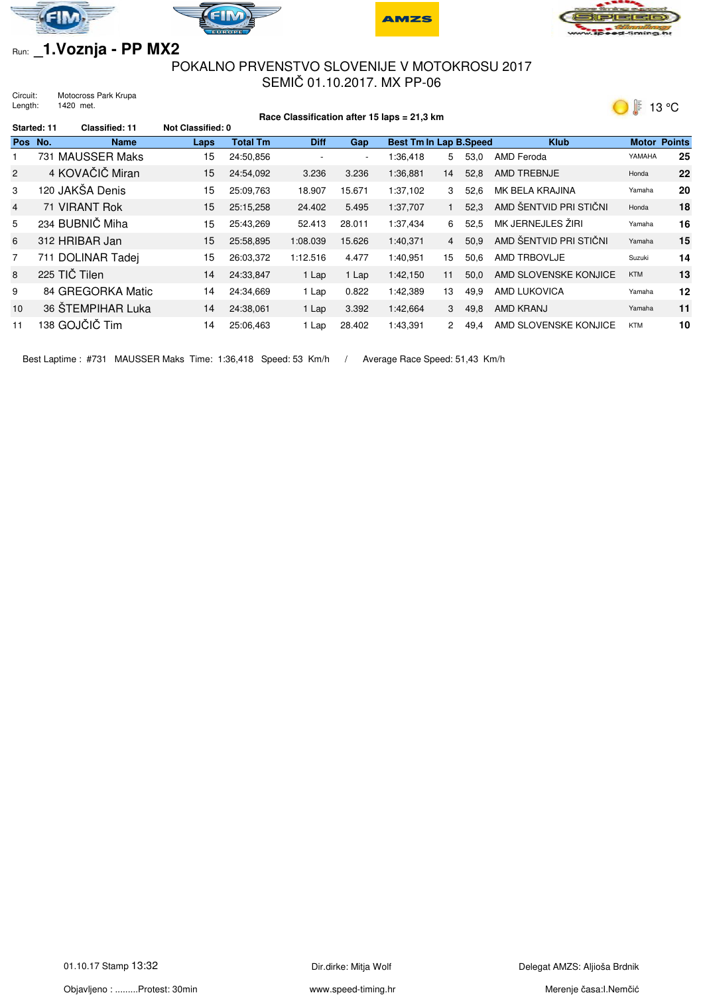







## Run: **\_1.Voznja - PP MX2**

## POKALNO PRVENSTVO SLOVENIJE V MOTOKROSU 2017 SEMIČ 01.10.2017. MX PP-06

Circuit: Motocross Park Krupa Length: 1420 met.



| Race Classification after 15 laps = 21,3 km |               |                       |                   |                 |                |        |                               | $\bullet$    | .      |                        |            |                     |
|---------------------------------------------|---------------|-----------------------|-------------------|-----------------|----------------|--------|-------------------------------|--------------|--------|------------------------|------------|---------------------|
|                                             | Started: 11   | <b>Classified: 11</b> | Not Classified: 0 |                 |                |        |                               |              |        |                        |            |                     |
| <b>Pos</b>                                  | No.           | <b>Name</b>           | Laps              | <b>Total Tm</b> | <b>Diff</b>    | Gap    | <b>Best Tm In Lap B.Speed</b> |              |        | <b>Klub</b>            |            | <b>Motor Points</b> |
|                                             |               | 731 MAUSSER Maks      | 15                | 24:50.856       | $\overline{a}$ | $\sim$ | 1:36,418                      | 5.           | 53,0   | AMD Feroda             | YAMAHA     | 25                  |
| $\overline{2}$                              |               | 4 KOVAČIČ Miran       | 15                | 24:54.092       | 3.236          | 3.236  | 1:36.881                      | 14           | 52,8   | AMD TREBNJE            | Honda      | 22                  |
| 3                                           |               | 120 JAKŠA Denis       | 15                | 25:09,763       | 18.907         | 15.671 | 1:37,102                      | 3            | 52.6   | MK BELA KRAJINA        | Yamaha     | 20                  |
| $\overline{4}$                              |               | 71 VIRANT Rok         | 15                | 25:15,258       | 24.402         | 5.495  | 1:37,707                      |              | 52.3   | AMD ŠENTVID PRI STIČNI | Honda      | 18                  |
| 5                                           |               | 234 BUBNIČ Miha       | 15                | 25:43,269       | 52.413         | 28.011 | 1:37,434                      | 6            | 52,5   | MK JERNEJLES ŽIRI      | Yamaha     | 16                  |
| 6                                           |               | 312 HRIBAR Jan        | 15                | 25:58,895       | 1:08.039       | 15.626 | 1:40,371                      |              | 4 50,9 | AMD ŠENTVID PRI STIČNI | Yamaha     | 15                  |
| $\overline{7}$                              |               | 711 DOLINAR Tadej     | 15                | 26:03.372       | 1:12.516       | 4.477  | 1:40.951                      | 15           | 50.6   | AMD TRBOVLJE           | Suzuki     | 14                  |
| 8                                           | 225 TIČ Tilen |                       | 14                | 24:33,847       | 1 Lap          | 1 Lap  | 1:42,150                      | 11           | 50,0   | AMD SLOVENSKE KONJICE  | <b>KTM</b> | 13                  |
| 9                                           |               | 84 GREGORKA Matic     | 14                | 24:34,669       | 1 Lap          | 0.822  | 1:42,389                      | 13           | 49.9   | <b>AMD LUKOVICA</b>    | Yamaha     | 12                  |
| 10                                          |               | 36 ŠTEMPIHAR Luka     | 14                | 24:38.061       | 1 Lap          | 3.392  | 1:42,664                      | 3            | 49,8   | AMD KRANJ              | Yamaha     | 11                  |
| 11                                          |               | 138 GOJČIČ Tim        | 14                | 25:06.463       | Lap            | 28.402 | 1:43,391                      | $\mathbf{2}$ | 49,4   | AMD SLOVENSKE KONJICE  | <b>KTM</b> | 10                  |

Best Laptime : #731 MAUSSER Maks Time: 1:36,418 Speed: 53 Km/h / Average Race Speed: 51,43 Km/h

Objavljeno : .........Protest: 30min